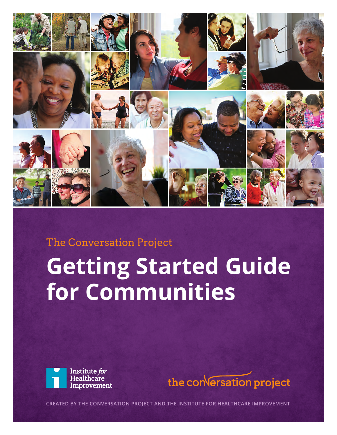

## The Conversation Project

# **Getting Started Guide for Communities**





**CREATED BY THE CONVERSATION PROJECT AND THE INSTITUTE FOR HEALTHCARE IMPROVEMENT**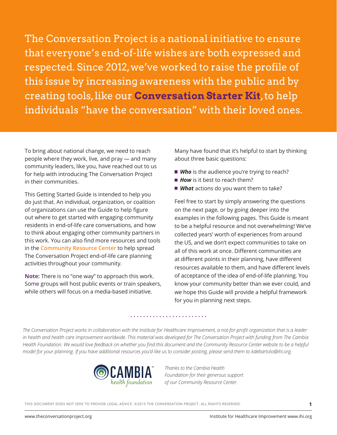The Conversation Project is a national initiative to ensure that everyone's end-of-life wishes are both expressed and respected. Since 2012, we've worked to raise the profile of this issue by increasing awareness with the public and by creating tools, like our **[Conversation Starter Kit](http://theconversationproject.org/starter-kit/intro/)**, to help individuals "have the conversation" with their loved ones.

To bring about national change, we need to reach people where they work, live, and pray — and many community leaders, like you, have reached out to us for help with introducing The Conversation Project in their communities.

This Getting Started Guide is intended to help you do just that. An individual, organization, or coalition of organizations can use the Guide to help figure out where to get started with engaging community residents in end-of-life care conversations, and how to think about engaging other community partners in this work. You can also find more resources and tools in the **[Community Resource Center](http://theconversationproject.org/resources/)** to help spread The Conversation Project end-of-life care planning activities throughout your community.

**Note:** There is no "one way" to approach this work. Some groups will host public events or train speakers, while others will focus on a media-based initiative.

Many have found that it's helpful to start by thinking about three basic questions:

- **Who** is the audience you're trying to reach?
- **How** is it best to reach them?
- *What* actions do you want them to take?

Feel free to start by simply answering the questions on the next page, or by going deeper into the examples in the following pages. This Guide is meant to be a helpful resource and not overwhelming! We've collected years' worth of experiences from around the US, and we don't expect communities to take on all of this work at once. Different communities are at different points in their planning, have different resources available to them, and have different levels of acceptance of the idea of end-of-life planning. You know your community better than we ever could, and we hope this Guide will provide a helpful framework for you in planning next steps.

*The Conversation Project works in collaboration with the Institute for Healthcare Improvement, a not-for-profit organization that is a leader in health and health care improvement worldwide. This material was developed for The Conversation Project with funding from The Cambia Health Foundation. We would love feedback on whether you find this document and the Community Resource Center website to be a helpful model for your planning. If you have additional resources you'd like us to consider posting, please send them to kdebartolo@ihi.org.* 



*Thanks to the Cambia Health Foundation for their generous support of our Community Resource Center.*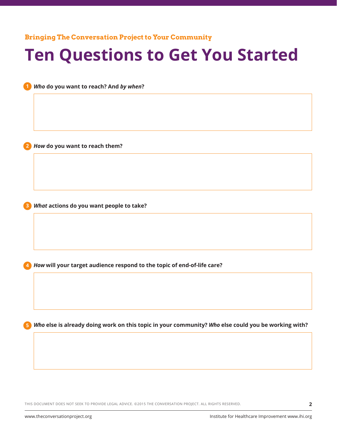**Bringing The Conversation Project to Your Community**

## **Ten Questions to Get You Started**

*Who* **do you want to reach? And** *by when***?**

*How* **do you want to reach them?**

**2**

*What* **actions do you want people to take? 3**

*How* **will your target audience respond to the topic of end-of-life care? 4**

*Who* **else is already doing work on this topic in your community?** *Who* **else could you be working with? 5**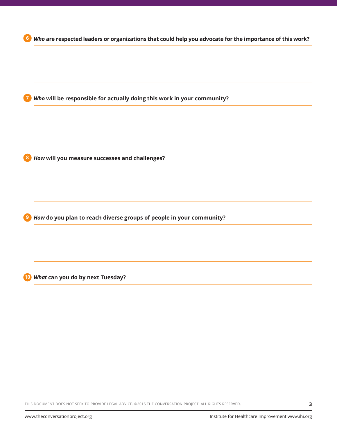

THIS DOCUMENT DOES NOT SEEK TO PROVIDE LEGAL ADVICE. ©2015 THE CONVERSATION PROJECT. ALL RIGHTS RESERVED.

**3**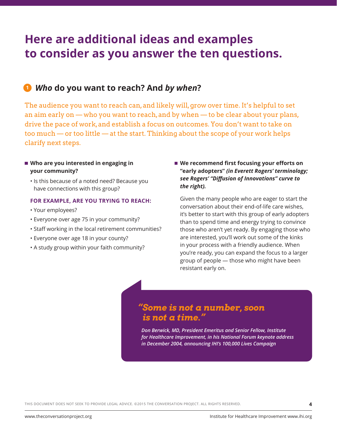## **Here are additional ideas and examples to consider as you answer the ten questions.**

### *Who* **do you want to reach? And** *by when***? 1**

The audience you want to reach can, and likely will, grow over time. It's helpful to set an aim early on — who you want to reach, and by when — to be clear about your plans, drive the pace of work, and establish a focus on outcomes. You don't want to take on too much — or too little — at the start. Thinking about the scope of your work helps clarify next steps.

#### ■ Who are you interested in engaging in **your community?**

• Is this because of a noted need? Because you have connections with this group?

#### **FOR EXAMPLE, ARE YOU TRYING TO REACH:**

- Your employees?
- Everyone over age 75 in your community?
- Staff working in the local retirement communities?
- Everyone over age 18 in your county?
- A study group within your faith community?

#### ■ We recommend first focusing your efforts on **"early adopters"** *(in Everett Rogers' terminology; see Rogers' "Diffusion of Innovations" curve to the right).*

Given the many people who are eager to start the conversation about their end-of-life care wishes, it's better to start with this group of early adopters than to spend time and energy trying to convince those who aren't yet ready. By engaging those who are interested, you'll work out some of the kinks in your process with a friendly audience. When you're ready, you can expand the focus to a larger group of people — those who might have been resistant early on.

## *"Some is not a number, soon is not a time."*

 *Don Berwick, MD, President Emeritus and Senior Fellow, Institute for Healthcare Improvement, in his National Forum keynote address in December 2004, announcing IHI's 100,000 Lives Campaign*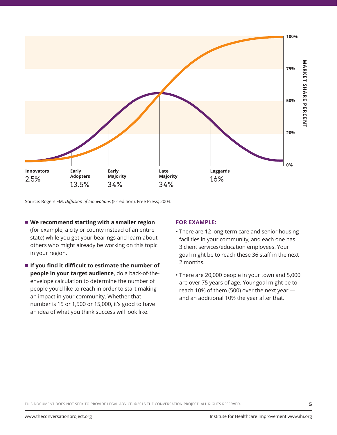

Source: Rogers EM. *Diffusion of Innovations* (5<sup>th</sup> edition). Free Press; 2003.

- We recommend starting with a smaller region (for example, a city or county instead of an entire state) while you get your bearings and learn about others who might already be working on this topic in your region.
- **If you find it difficult to estimate the number of people in your target audience,** do a back-of-theenvelope calculation to determine the number of people you'd like to reach in order to start making an impact in your community. Whether that number is 15 or 1,500 or 15,000, it's good to have an idea of what you think success will look like.

#### **FOR EXAMPLE:**

- There are 12 long-term care and senior housing facilities in your community, and each one has 3 client services/education employees. Your goal might be to reach these 36 staff in the next 2 months.
- There are 20,000 people in your town and 5,000 are over 75 years of age. Your goal might be to reach 10% of them (500) over the next year and an additional 10% the year after that.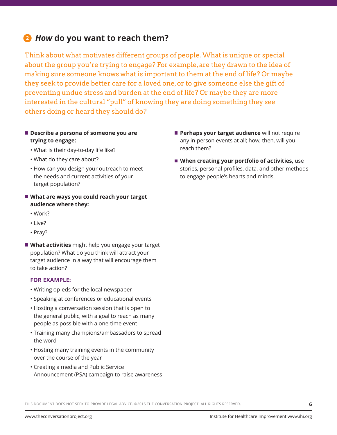## **2** *How* **do you want to reach them?**

Think about what motivates different groups of people. What is unique or special about the group you're trying to engage? For example, are they drawn to the idea of making sure someone knows what is important to them at the end of life? Or maybe they seek to provide better care for a loved one, or to give someone else the gift of preventing undue stress and burden at the end of life? Or maybe they are more interested in the cultural "pull" of knowing they are doing something they see others doing or heard they should do?

- Describe a persona of someone you are **trying to engage:** 
	- What is their day-to-day life like?
	- What do they care about?
	- How can you design your outreach to meet the needs and current activities of your target population?
- What are ways you could reach your target **audience where they:**
	- Work?
	- Live?
	- Pray?
- **What activities** might help you engage your target population? What do you think will attract your target audience in a way that will encourage them to take action?

#### **FOR EXAMPLE:**

- Writing op-eds for the local newspaper
- Speaking at conferences or educational events
- Hosting a conversation session that is open to the general public, with a goal to reach as many people as possible with a one-time event
- Training many champions/ambassadors to spread the word
- Hosting many training events in the community over the course of the year
- Creating a media and Public Service Announcement (PSA) campaign to raise awareness
- **Perhaps your target audience** will not require any in-person events at all; how, then, will you reach them?
- **When creating your portfolio of activities,** use stories, personal profiles, data, and other methods to engage people's hearts and minds.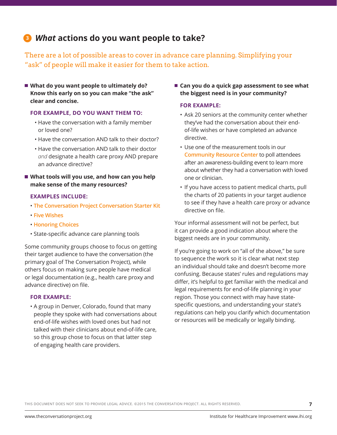## *What* **actions do you want people to take? 3**

There are a lot of possible areas to cover in advance care planning. Simplifying your "ask" of people will make it easier for them to take action.

 **What do you want people to ultimately do? Know this early on so you can make "the ask" clear and concise.** 

#### **FOR EXAMPLE, DO YOU WANT THEM TO:**

- Have the conversation with a family member or loved one?
- Have the conversation AND talk to their doctor?
- Have the conversation AND talk to their doctor *and* designate a health care proxy AND prepare an advance directive?

#### ■ What tools will you use, and how can you help **make sense of the many resources?**

#### **EXAMPLES INCLUDE:**

- **[The Conversation Project Conversation Starter Kit](http://theconversationproject.org/starter-kit/intro/)**
- **[Five Wishes](https://www.agingwithdignity.org/five-wishes.php)**
- **[Honoring Choices](http://www.honoringchoices.org/)**
- State-specific advance care planning tools

Some community groups choose to focus on getting their target audience to have the conversation (the primary goal of The Conversation Project), while others focus on making sure people have medical or legal documentation (e.g., health care proxy and advance directive) on file.

#### **FOR EXAMPLE:**

• A group in Denver, Colorado, found that many people they spoke with had conversations about end-of-life wishes with loved ones but had not talked with their clinicians about end-of-life care, so this group chose to focus on that latter step of engaging health care providers.

■ Can you do a quick gap assessment to see what **the biggest need is in your community?** 

#### **FOR EXAMPLE:**

- Ask 20 seniors at the community center whether they've had the conversation about their endof-life wishes or have completed an advance directive.
- Use one of the measurement tools in our **[Community Resource Center](http://theconversationproject.org/resources/)** to poll attendees after an awareness-building event to learn more about whether they had a conversation with loved one or clinician.
- If you have access to patient medical charts, pull the charts of 20 patients in your target audience to see if they have a health care proxy or advance directive on file.

Your informal assessment will not be perfect, but it can provide a good indication about where the biggest needs are in your community.

If you're going to work on "all of the above," be sure to sequence the work so it is clear what next step an individual should take and doesn't become more confusing. Because states' rules and regulations may differ, it's helpful to get familiar with the medical and legal requirements for end-of-life planning in your region. Those you connect with may have statespecific questions, and understanding your state's regulations can help you clarify which documentation or resources will be medically or legally binding.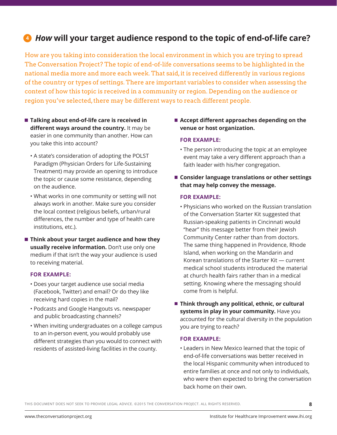## *How* **will your target audience respond to the topic of end-of-life care? 4**

How are you taking into consideration the local environment in which you are trying to spread The Conversation Project? The topic of end-of-life conversations seems to be highlighted in the national media more and more each week. That said, it is received differently in various regions of the country or types of settings. There are important variables to consider when assessing the context of how this topic is received in a community or region. Depending on the audience or region you've selected, there may be different ways to reach different people.

- Talking about end-of-life care is received in **different ways around the country.** It may be easier in one community than another. How can you take this into account?
	- A state's consideration of adopting the POLST Paradigm (Physician Orders for Life-Sustaining Treatment) may provide an opening to introduce the topic or cause some resistance, depending on the audience.
	- What works in one community or setting will not always work in another. Make sure you consider the local context (religious beliefs, urban/rural differences, the number and type of health care institutions, etc.).
- **Think about your target audience and how they usually receive information.** Don't use only one medium if that isn't the way your audience is used to receiving material.

#### **FOR EXAMPLE:**

- Does your target audience use social media (Facebook, Twitter) and email? Or do they like receiving hard copies in the mail?
- Podcasts and Google Hangouts vs. newspaper and public broadcasting channels?
- When inviting undergraduates on a college campus to an in-person event, you would probably use different strategies than you would to connect with residents of assisted-living facilities in the county.

#### ■ Accept different approaches depending on the **venue or host organization.**

#### **FOR EXAMPLE:**

- The person introducing the topic at an employee event may take a very different approach than a faith leader with his/her congregation.
- Consider language translations or other settings **that may help convey the message.**

#### **FOR EXAMPLE:**

- Physicians who worked on the Russian translation of the Conversation Starter Kit suggested that Russian-speaking patients in Cincinnati would "hear" this message better from their Jewish Community Center rather than from doctors. The same thing happened in Providence, Rhode Island, when working on the Mandarin and Korean translations of the Starter Kit — current medical school students introduced the material at church health fairs rather than in a medical setting. Knowing where the messaging should come from is helpful.
- Think through any political, ethnic, or cultural **systems in play in your community.** Have you accounted for the cultural diversity in the population you are trying to reach?

#### **FOR EXAMPLE:**

• Leaders in New Mexico learned that the topic of end-of-life conversations was better received in the local Hispanic community when introduced to entire families at once and not only to individuals, who were then expected to bring the conversation back home on their own.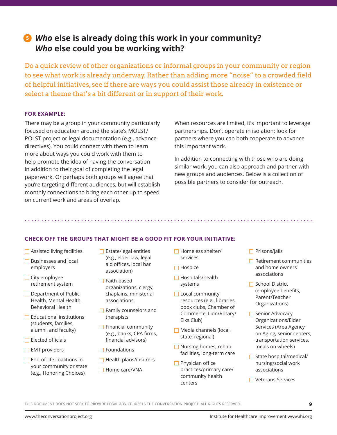## *Who* **else is already doing this work in your community? 5***Who* **else could you be working with?**

Do a quick review of other organizations or informal groups in your community or region to see what work is already underway. Rather than adding more "noise" to a crowded field of helpful initiatives, see if there are ways you could assist those already in existence or select a theme that's a bit different or in support of their work.

#### **FOR EXAMPLE:**

There may be a group in your community particularly focused on education around the state's MOLST/ POLST project or legal documentation (e.g., advance directives). You could connect with them to learn more about ways you could work with them to help promote the idea of having the conversation in addition to their goal of completing the legal paperwork. Or perhaps both groups will agree that you're targeting different audiences, but will establish monthly connections to bring each other up to speed on current work and areas of overlap.

When resources are limited, it's important to leverage partnerships. Don't operate in isolation; look for partners where you can both cooperate to advance this important work.

In addition to connecting with those who are doing similar work, you can also approach and partner with new groups and audiences. Below is a collection of possible partners to consider for outreach.

#### **CHECK OFF THE GROUPS THAT MIGHT BE A GOOD FIT FOR YOUR INITIATIVE:**

- **□** Assisted living facilities
- **■** Businesses and local employers
- City employee retirement system
- **Department of Public** Health, Mental Health, Behavioral Health
- **□** Educational institutions (students, families, alumni, and faculty)
- $\Box$  Elected officials
- $\Box$  EMT providers
- **□** End-of-life coalitions in your community or state (e.g., Honoring Choices)
- **B** Estate/legal entities (e.g., elder law, legal aid offices, local bar association)
- Faith-based organizations, clergy, chaplains, ministerial associations
- **Family counselors and** therapists
- **Financial community** (e.g., banks, CPA firms, financial advisors)
- $\Box$  Foundations
- $\Box$  Health plans/insurers
- $\Box$  Home care/VNA
- Homeless shelter/ services
- $\Box$  Hospice
- Hospitals/health systems
- **Local community** resources (e.g., libraries, book clubs, Chamber of Commerce, Lion/Rotary/ Elks Club)
- Media channels (local, state, regional)
- Nursing homes, rehab facilities, long-term care
- **Physician office** practices/primary care/ community health centers
- *D* Prisons/jails
- **■** Retirement communities and home owners' associations
- School District (employee benefits, Parent/Teacher Organizations)
- **B** Senior Advocacy Organizations/Elder Services (Area Agency on Aging, senior centers, transportation services, meals on wheels)
- State hospital/medical/ nursing/social work associations

**9**

**□ Veterans Services**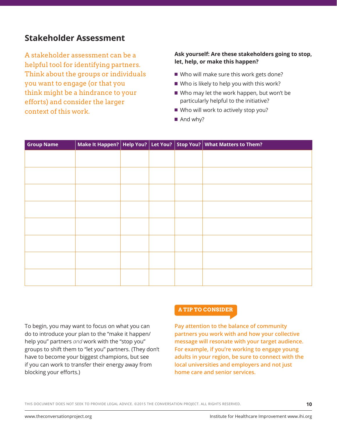## **Stakeholder Assessment**

A stakeholder assessment can be a helpful tool for identifying partners. Think about the groups or individuals you want to engage (or that you think might be a hindrance to your efforts) and consider the larger context of this work.

#### **Ask yourself: Are these stakeholders going to stop, let, help, or make this happen?**

- Who will make sure this work gets done?
- Who is likely to help you with this work?
- Who may let the work happen, but won't be particularly helpful to the initiative?
- Who will work to actively stop you?
- And why?

| <b>Group Name</b> |  |  | Make It Happen?   Help You?   Let You?   Stop You?   What Matters to Them? |
|-------------------|--|--|----------------------------------------------------------------------------|
|                   |  |  |                                                                            |
|                   |  |  |                                                                            |
|                   |  |  |                                                                            |
|                   |  |  |                                                                            |
|                   |  |  |                                                                            |
|                   |  |  |                                                                            |
|                   |  |  |                                                                            |
|                   |  |  |                                                                            |
|                   |  |  |                                                                            |
|                   |  |  |                                                                            |
|                   |  |  |                                                                            |
|                   |  |  |                                                                            |
|                   |  |  |                                                                            |
|                   |  |  |                                                                            |
|                   |  |  |                                                                            |
|                   |  |  |                                                                            |

To begin, you may want to focus on what you can do to introduce your plan to the "make it happen/ help you" partners *and* work with the "stop you" groups to shift them to "let you" partners. (They don't have to become your biggest champions, but see if you can work to transfer their energy away from blocking your efforts.)

#### **A TIP TO CONSIDER**

**Pay attention to the balance of community partners you work with and how your collective message will resonate with your target audience. For example, if you're working to engage young adults in your region, be sure to connect with the local universities and employers and not just home care and senior services.**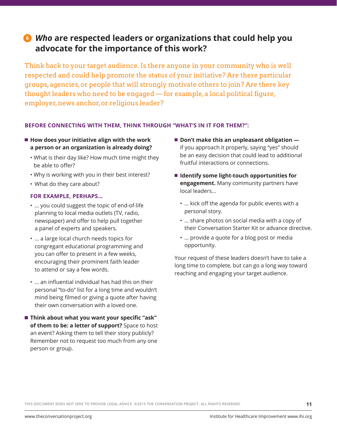## *Who* **are respected leaders or organizations that could help you 6advocate for the importance of this work?**

Think back to your target audience. Is there anyone in your community who is well respected and could help promote the status of your initiative? Are there particular groups, agencies, or people that will strongly motivate others to join? Are there key thought leaders who need to be engaged — for example, a local political figure, employer, news anchor, or religious leader?

#### **BEFORE CONNECTING WITH THEM, THINK THROUGH "WHAT'S IN IT FOR THEM?":**

- How does your initiative align with the work **a person or an organization is already doing?** 
	- What is their day like? How much time might they be able to offer?
	- Why is working with you in their best interest?
	- What do they care about?

#### **FOR EXAMPLE, PERHAPS…**

- … you could suggest the topic of end-of-life planning to local media outlets (TV, radio, newspaper) and offer to help pull together a panel of experts and speakers.
- … a large local church needs topics for congregant educational programming and you can offer to present in a few weeks, encouraging their prominent faith leader to attend or say a few words.
- … an influential individual has had this on their personal "to-do" list for a long time and wouldn't mind being filmed or giving a quote after having their own conversation with a loved one.
- **Think about what you want your specific "ask" of them to be: a letter of support?** Space to host an event? Asking them to tell their story publicly? Remember not to request too much from any one person or group.
- Don't make this an unpleasant obligation  $\blacksquare$ if you approach it properly, saying "yes" should be an easy decision that could lead to additional fruitful interactions or connections.
- Identify some light-touch opportunities for **engagement.** Many community partners have local leaders…
	- … kick off the agenda for public events with a personal story.
	- … share photos on social media with a copy of their Conversation Starter Kit or advance directive.
	- … provide a quote for a blog post or media opportunity.

Your request of these leaders doesn't have to take a long time to complete, but can go a long way toward reaching and engaging your target audience.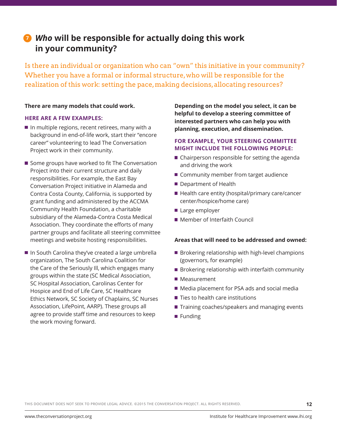## *Who* **will be responsible for actually doing this work 7in your community?**

Is there an individual or organization who can "own" this initiative in your community? Whether you have a formal or informal structure, who will be responsible for the realization of this work: setting the pace, making decisions, allocating resources?

#### **There are many models that could work.**

#### **HERE ARE A FEW EXAMPLES:**

- $\blacksquare$  In multiple regions, recent retirees, many with a background in end-of-life work, start their "encore career" volunteering to lead The Conversation Project work in their community.
- Some groups have worked to fit The Conversation Project into their current structure and daily responsibilities. For example, the East Bay Conversation Project initiative in Alameda and Contra Costa County, California, is supported by grant funding and administered by the ACCMA Community Health Foundation, a charitable subsidiary of the Alameda-Contra Costa Medical Association. They coordinate the efforts of many partner groups and facilitate all steering committee meetings and website hosting responsibilities.
- In South Carolina they've created a large umbrella organization, The South Carolina Coalition for the Care of the Seriously Ill, which engages many groups within the state (SC Medical Association, SC Hospital Association, Carolinas Center for Hospice and End of Life Care, SC Healthcare Ethics Network, SC Society of Chaplains, SC Nurses Association, LifePoint, AARP). These groups all agree to provide staff time and resources to keep the work moving forward.

**Depending on the model you select, it can be helpful to develop a steering committee of interested partners who can help you with planning, execution, and dissemination.**

#### **FOR EXAMPLE, YOUR STEERING COMMITTEE MIGHT INCLUDE THE FOLLOWING PEOPLE:**

- Chairperson responsible for setting the agenda and driving the work
- Community member from target audience
- Department of Health
- Health care entity (hospital/primary care/cancer center/hospice/home care)
- Large employer
- Member of Interfaith Council

#### **Areas that will need to be addressed and owned:**

- Brokering relationship with high-level champions (governors, for example)
- **Brokering relationship with interfaith community**
- Measurement
- Media placement for PSA ads and social media
- Ties to health care institutions
- Training coaches/speakers and managing events
- Funding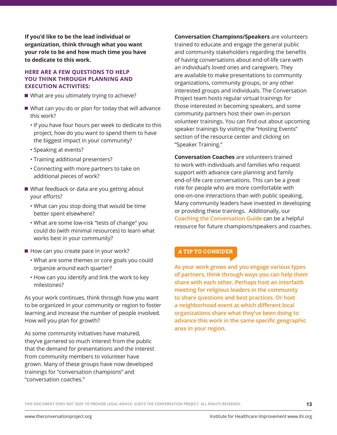**If you'd like to be the lead individual or organization, think through what you want your role to be and how much time you have to dedicate to this work.** 

#### **HERE ARE A FEW QUESTIONS TO HELP YOU THINK THROUGH PLANNING AND EXECUTION ACTIVITIES:**

- What are you ultimately trying to achieve?
- What can you do or plan for today that will advance this work?
	- If you have four hours per week to dedicate to this project, how do you want to spend them to have the biggest impact in your community?
	- Speaking at events?
	- Training additional presenters?
	- Connecting with more partners to take on additional pieces of work?
- What feedback or data are you getting about your efforts?
	- What can you stop doing that would be time better spent elsewhere?
	- What are some low-risk "tests of change" you could do (with minimal resources) to learn what works best in your community?
- How can you create pace in your work?
	- What are some themes or core goals you could organize around each quarter?
	- How can you identify and link the work to key milestones?

As your work continues, think through how you want to be organized in your community or region to foster learning and increase the number of people involved. How will you plan for growth?

As some community initiatives have matured, they've garnered so much interest from the public that the demand for presentations and the interest from community members to volunteer have grown. Many of these groups have now developed trainings for "conversation champions" and "conversation coaches."

**Conversation Champions/Speakers** are volunteers trained to educate and engage the general public and community stakeholders regarding the benefits of having conversations about end-of-life care with an individual's loved ones and caregivers. They are available to make presentations to community organizations, community groups, or any other interested groups and individuals. The Conversation Project team hosts regular virtual trainings for those interested in becoming speakers, and some community partners host their own in-person volunteer trainings. You can find out about upcoming speaker trainings by visiting the "Hosting Events" section of the resource center and clicking on "Speaker Training."

**Conversation Coaches** are volunteers trained to work with individuals and families who request support with advance care planning and family end-of-life care conversations. This can be a great role for people who are more comfortable with one-on-one interactions than with public speaking. Many community leaders have invested in developing or providing these trainings. Additionally, our **[Coaching the Conversation Guide](http://theconversationproject.org/wp-content/uploads/2015/06/TCP_CoachingConv_Final.pdf)** can be a helpful resource for future champions/speakers and coaches.

#### **A TIP TO CONSIDER**

**As your work grows and you engage various types of partners, think through ways you can help them share with each other. Perhaps host an interfaith meeting for religious leaders in the community to share questions and best practices. Or host a neighborhood event at which different local organizations share what they've been doing to advance this work in the same specific geographic area in your region.**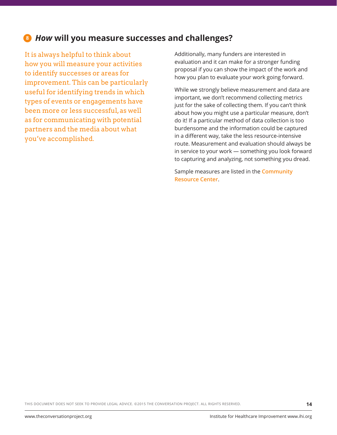## **8** *How* **will you measure successes and challenges?**

It is always helpful to think about how you will measure your activities to identify successes or areas for improvement. This can be particularly useful for identifying trends in which types of events or engagements have been more or less successful, as well as for communicating with potential partners and the media about what you've accomplished.

Additionally, many funders are interested in evaluation and it can make for a stronger funding proposal if you can show the impact of the work and how you plan to evaluate your work going forward.

While we strongly believe measurement and data are important, we don't recommend collecting metrics just for the sake of collecting them. If you can't think about how you might use a particular measure, don't do it! If a particular method of data collection is too burdensome and the information could be captured in a different way, take the less resource-intensive route. Measurement and evaluation should always be in service to your work — something you look forward to capturing and analyzing, not something you dread.

Sample measures are listed in the **[Community](http://theconversationproject.org/resources/)  [Resource Center](http://theconversationproject.org/resources/)**.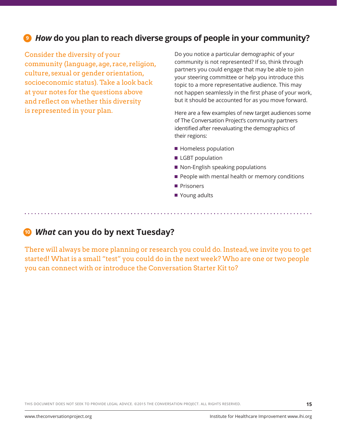## **9** *How* **do you plan to reach diverse groups of people in your community?**

Consider the diversity of your community (language, age, race, religion, culture, sexual or gender orientation, socioeconomic status). Take a look back at your notes for the questions above and reflect on whether this diversity is represented in your plan.

Do you notice a particular demographic of your community is not represented? If so, think through partners you could engage that may be able to join your steering committee or help you introduce this topic to a more representative audience. This may not happen seamlessly in the first phase of your work, but it should be accounted for as you move forward.

Here are a few examples of new target audiences some of The Conversation Project's community partners identified after reevaluating the demographics of their regions:

- **Homeless population**
- **LGBT** population
- Non-English speaking populations
- People with mental health or memory conditions
- **Prisoners**
- Young adults

*What* **can you do by next Tuesday? 10**

There will always be more planning or research you could do. Instead, we invite you to get started! What is a small "test" you could do in the next week? Who are one or two people you can connect with or introduce the Conversation Starter Kit to?

THIS DOCUMENT DOES NOT SEEK TO PROVIDE LEGAL ADVICE. ©2015 THE CONVERSATION PROJECT. ALL RIGHTS RESERVED.

**15**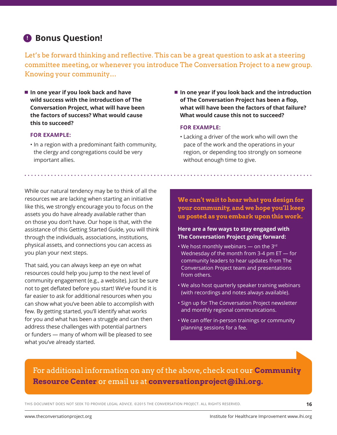## **Bonus Question!**

Let's be forward thinking and reflective. This can be a great question to ask at a steering committee meeting, or whenever you introduce The Conversation Project to a new group. Knowing your community…

**In one year if you look back and have wild success with the introduction of The Conversation Project, what will have been the factors of success? What would cause this to succeed?** 

#### **FOR EXAMPLE:**

- In a region with a predominant faith community, the clergy and congregations could be very important allies.
- In one year if you look back and the introduction **of The Conversation Project has been a flop, what will have been the factors of that failure? What would cause this not to succeed?**

#### **FOR EXAMPLE:**

• Lacking a driver of the work who will own the pace of the work and the operations in your region, or depending too strongly on someone without enough time to give.

While our natural tendency may be to think of all the resources we are lacking when starting an initiative like this, we strongly encourage you to focus on the assets you do have already available rather than on those you don't have. Our hope is that, with the assistance of this Getting Started Guide, you will think through the individuals, associations, institutions, physical assets, and connections you can access as you plan your next steps.

That said, you can always keep an eye on what resources could help you jump to the next level of community engagement (e.g., a website). Just be sure not to get deflated before you start! We've found it is far easier to ask for additional resources when you can show what you've been able to accomplish with few. By getting started, you'll identify what works for you and what has been a struggle and can then address these challenges with potential partners or funders — many of whom will be pleased to see what you've already started.

**We can't wait to hear what you design for your community, and we hope you'll keep us posted as you embark upon this work.**

#### **Here are a few ways to stay engaged with The Conversation Project going forward:**

- We host monthly webinars  $-$  on the 3<sup>rd</sup> Wednesday of the month from 3-4 pm ET — for community leaders to hear updates from The Conversation Project team and presentations from others.
- We also host quarterly speaker training webinars (with recordings and notes always available).
- Sign up for The Conversation Project newsletter and monthly regional communications.
- We can offer in-person trainings or community planning sessions for a fee.

For additional information on any of the above, check out our **[Community](http://theconversationproject.org/resources/)  [Resource Center](http://theconversationproject.org/resources/)** or email us at **[conversationproject@ihi.org.](mailto:conversationproject@ihi.org)**